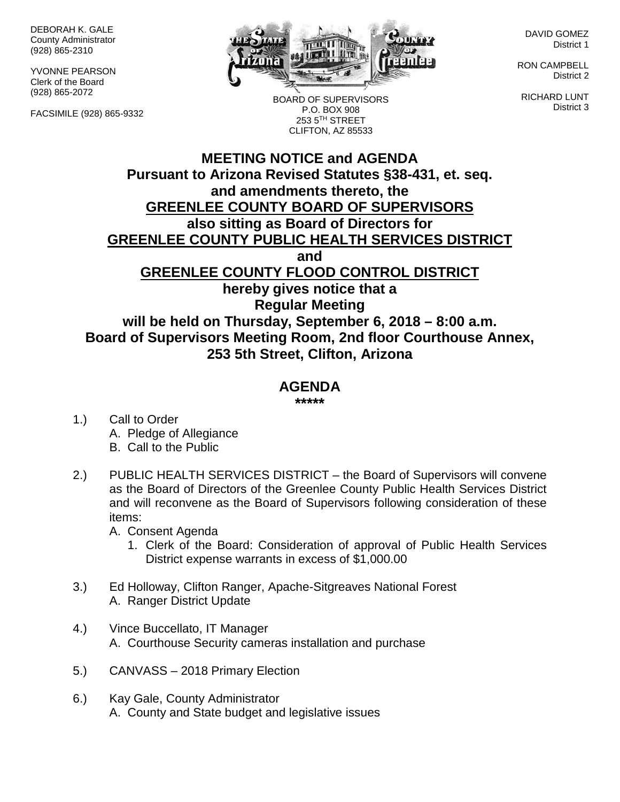DEBORAH K. GALE County Administrator (928) 865-2310

YVONNE PEARSON Clerk of the Board (928) 865-2072

FACSIMILE (928) 865-9332



BOARD OF SUPERVISORS P.O. BOX 908 253 5TH STREET CLIFTON, AZ 85533

DAVID GOMEZ District 1

RON CAMPBELL District 2

RICHARD LUNT District 3

## **MEETING NOTICE and AGENDA Pursuant to Arizona Revised Statutes §38-431, et. seq. and amendments thereto, the GREENLEE COUNTY BOARD OF SUPERVISORS also sitting as Board of Directors for GREENLEE COUNTY PUBLIC HEALTH SERVICES DISTRICT and GREENLEE COUNTY FLOOD CONTROL DISTRICT hereby gives notice that a Regular Meeting will be held on Thursday, September 6, 2018 – 8:00 a.m. Board of Supervisors Meeting Room, 2nd floor Courthouse Annex, 253 5th Street, Clifton, Arizona**

## **AGENDA**

**\*\*\*\*\***

- 1.) Call to Order A. Pledge of Allegiance B. Call to the Public
- 2.) PUBLIC HEALTH SERVICES DISTRICT the Board of Supervisors will convene as the Board of Directors of the Greenlee County Public Health Services District and will reconvene as the Board of Supervisors following consideration of these items:
	- A. Consent Agenda
		- 1. Clerk of the Board: Consideration of approval of Public Health Services District expense warrants in excess of \$1,000.00
- 3.) Ed Holloway, Clifton Ranger, Apache-Sitgreaves National Forest A. Ranger District Update
- 4.) Vince Buccellato, IT Manager A. Courthouse Security cameras installation and purchase
- 5.) CANVASS 2018 Primary Election
- 6.) Kay Gale, County Administrator A. County and State budget and legislative issues